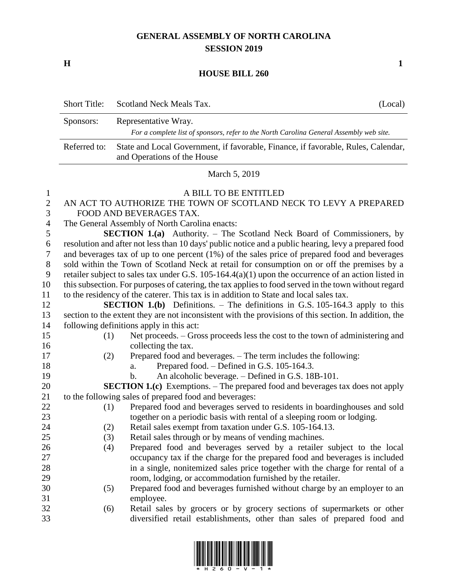## **GENERAL ASSEMBLY OF NORTH CAROLINA SESSION 2019**

**H 1**

## **HOUSE BILL 260**

|                       | <b>Short Title:</b>                                                                                                                                                                                     | Scotland Neck Meals Tax.<br>(Local)                                                                              |  |  |
|-----------------------|---------------------------------------------------------------------------------------------------------------------------------------------------------------------------------------------------------|------------------------------------------------------------------------------------------------------------------|--|--|
|                       | Sponsors:                                                                                                                                                                                               | Representative Wray.                                                                                             |  |  |
|                       |                                                                                                                                                                                                         | For a complete list of sponsors, refer to the North Carolina General Assembly web site.                          |  |  |
|                       | Referred to:                                                                                                                                                                                            | State and Local Government, if favorable, Finance, if favorable, Rules, Calendar,<br>and Operations of the House |  |  |
|                       | March 5, 2019                                                                                                                                                                                           |                                                                                                                  |  |  |
| 1                     |                                                                                                                                                                                                         | A BILL TO BE ENTITLED                                                                                            |  |  |
| $\mathbf{2}$          |                                                                                                                                                                                                         | AN ACT TO AUTHORIZE THE TOWN OF SCOTLAND NECK TO LEVY A PREPARED                                                 |  |  |
| 3                     |                                                                                                                                                                                                         | FOOD AND BEVERAGES TAX.                                                                                          |  |  |
| $\overline{4}$        | The General Assembly of North Carolina enacts:                                                                                                                                                          |                                                                                                                  |  |  |
| 5                     | <b>SECTION 1.(a)</b> Authority. – The Scotland Neck Board of Commissioners, by                                                                                                                          |                                                                                                                  |  |  |
| 6<br>$\boldsymbol{7}$ | resolution and after not less than 10 days' public notice and a public hearing, levy a prepared food<br>and beverages tax of up to one percent $(1%)$ of the sales price of prepared food and beverages |                                                                                                                  |  |  |
| $8\,$                 | sold within the Town of Scotland Neck at retail for consumption on or off the premises by a                                                                                                             |                                                                                                                  |  |  |
| 9                     | retailer subject to sales tax under G.S. $105-164.4(a)(1)$ upon the occurrence of an action listed in                                                                                                   |                                                                                                                  |  |  |
| 10                    | this subsection. For purposes of catering, the tax applies to food served in the town without regard                                                                                                    |                                                                                                                  |  |  |
| 11                    | to the residency of the caterer. This tax is in addition to State and local sales tax.                                                                                                                  |                                                                                                                  |  |  |
| 12                    | <b>SECTION 1.(b)</b> Definitions. $-$ The definitions in G.S. 105-164.3 apply to this                                                                                                                   |                                                                                                                  |  |  |
| 13                    |                                                                                                                                                                                                         | section to the extent they are not inconsistent with the provisions of this section. In addition, the            |  |  |
| 14                    | following definitions apply in this act:                                                                                                                                                                |                                                                                                                  |  |  |
| 15                    | (1)                                                                                                                                                                                                     | Net proceeds. – Gross proceeds less the cost to the town of administering and                                    |  |  |
| 16                    |                                                                                                                                                                                                         | collecting the tax.                                                                                              |  |  |
| 17                    | (2)                                                                                                                                                                                                     | Prepared food and beverages. - The term includes the following:                                                  |  |  |
| 18                    |                                                                                                                                                                                                         | Prepared food. – Defined in G.S. 105-164.3.<br>a.                                                                |  |  |
| 19                    |                                                                                                                                                                                                         | An alcoholic beverage. – Defined in G.S. 18B-101.<br>b.                                                          |  |  |
| 20                    |                                                                                                                                                                                                         | <b>SECTION 1.(c)</b> Exemptions. - The prepared food and beverages tax does not apply                            |  |  |
| 21                    |                                                                                                                                                                                                         | to the following sales of prepared food and beverages:                                                           |  |  |
| 22                    | (1)                                                                                                                                                                                                     | Prepared food and beverages served to residents in boardinghouses and sold                                       |  |  |
| 23                    |                                                                                                                                                                                                         | together on a periodic basis with rental of a sleeping room or lodging.                                          |  |  |
| 24                    | (2)                                                                                                                                                                                                     | Retail sales exempt from taxation under G.S. 105-164.13.                                                         |  |  |
| 25                    | (3)                                                                                                                                                                                                     | Retail sales through or by means of vending machines.                                                            |  |  |
| 26                    | (4)                                                                                                                                                                                                     | Prepared food and beverages served by a retailer subject to the local                                            |  |  |
| 27                    |                                                                                                                                                                                                         | occupancy tax if the charge for the prepared food and beverages is included                                      |  |  |
| 28                    |                                                                                                                                                                                                         | in a single, nonitemized sales price together with the charge for rental of a                                    |  |  |
| 29                    |                                                                                                                                                                                                         | room, lodging, or accommodation furnished by the retailer.                                                       |  |  |
| 30                    | (5)                                                                                                                                                                                                     | Prepared food and beverages furnished without charge by an employer to an                                        |  |  |
| 31                    |                                                                                                                                                                                                         | employee.                                                                                                        |  |  |
| 32                    | (6)                                                                                                                                                                                                     | Retail sales by grocers or by grocery sections of supermarkets or other                                          |  |  |
| 33                    |                                                                                                                                                                                                         | diversified retail establishments, other than sales of prepared food and                                         |  |  |

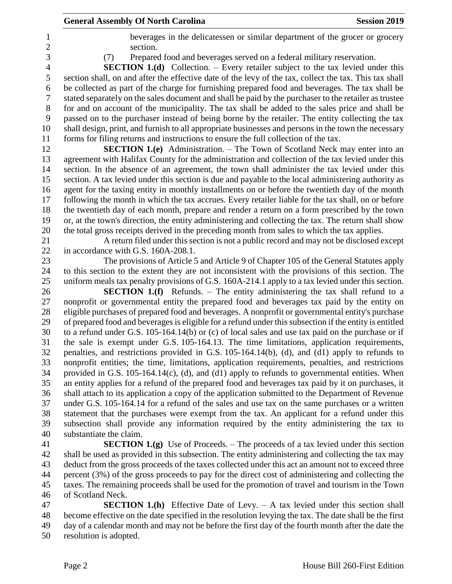|                         | <b>General Assembly Of North Carolina</b>                                                                                                                                                          | <b>Session 2019</b> |
|-------------------------|----------------------------------------------------------------------------------------------------------------------------------------------------------------------------------------------------|---------------------|
|                         | beverages in the delicatessen or similar department of the grocer or grocery                                                                                                                       |                     |
|                         | section.                                                                                                                                                                                           |                     |
| (7)                     | Prepared food and beverages served on a federal military reservation.                                                                                                                              |                     |
|                         | <b>SECTION 1.(d)</b> Collection. - Every retailer subject to the tax levied under this                                                                                                             |                     |
|                         | section shall, on and after the effective date of the levy of the tax, collect the tax. This tax shall                                                                                             |                     |
|                         | be collected as part of the charge for furnishing prepared food and beverages. The tax shall be                                                                                                    |                     |
|                         | stated separately on the sales document and shall be paid by the purchaser to the retailer as trustee                                                                                              |                     |
|                         | for and on account of the municipality. The tax shall be added to the sales price and shall be                                                                                                     |                     |
|                         | passed on to the purchaser instead of being borne by the retailer. The entity collecting the tax                                                                                                   |                     |
|                         | shall design, print, and furnish to all appropriate businesses and persons in the town the necessary                                                                                               |                     |
|                         | forms for filing returns and instructions to ensure the full collection of the tax.                                                                                                                |                     |
|                         | <b>SECTION 1.(e)</b> Administration. – The Town of Scotland Neck may enter into an                                                                                                                 |                     |
|                         | agreement with Halifax County for the administration and collection of the tax levied under this                                                                                                   |                     |
|                         | section. In the absence of an agreement, the town shall administer the tax levied under this                                                                                                       |                     |
|                         | section. A tax levied under this section is due and payable to the local administering authority as                                                                                                |                     |
|                         | agent for the taxing entity in monthly installments on or before the twentieth day of the month                                                                                                    |                     |
|                         | following the month in which the tax accrues. Every retailer liable for the tax shall, on or before                                                                                                |                     |
|                         | the twentieth day of each month, prepare and render a return on a form prescribed by the town                                                                                                      |                     |
|                         | or, at the town's direction, the entity administering and collecting the tax. The return shall show                                                                                                |                     |
|                         | the total gross receipts derived in the preceding month from sales to which the tax applies.                                                                                                       |                     |
|                         | A return filed under this section is not a public record and may not be disclosed except                                                                                                           |                     |
|                         | in accordance with G.S. 160A-208.1.                                                                                                                                                                |                     |
|                         | The provisions of Article 5 and Article 9 of Chapter 105 of the General Statutes apply                                                                                                             |                     |
|                         | to this section to the extent they are not inconsistent with the provisions of this section. The                                                                                                   |                     |
|                         | uniform meals tax penalty provisions of G.S. 160A-214.1 apply to a tax levied under this section.                                                                                                  |                     |
|                         | <b>SECTION 1.(f)</b> Refunds. - The entity administering the tax shall refund to a                                                                                                                 |                     |
|                         | nonprofit or governmental entity the prepared food and beverages tax paid by the entity on                                                                                                         |                     |
|                         | eligible purchases of prepared food and beverages. A nonprofit or governmental entity's purchase                                                                                                   |                     |
|                         | of prepared food and beverages is eligible for a refund under this subsection if the entity is entitled                                                                                            |                     |
|                         | to a refund under G.S. 105-164.14(b) or (c) of local sales and use tax paid on the purchase or if                                                                                                  |                     |
|                         | the sale is exempt under G.S. 105-164.13. The time limitations, application requirements,<br>penalties, and restrictions provided in G.S. 105-164.14(b), (d), and (d1) apply to refunds to         |                     |
|                         | nonprofit entities; the time, limitations, application requirements, penalties, and restrictions                                                                                                   |                     |
|                         |                                                                                                                                                                                                    |                     |
|                         | provided in G.S. 105-164.14(c), (d), and (d1) apply to refunds to governmental entities. When<br>an entity applies for a refund of the prepared food and beverages tax paid by it on purchases, it |                     |
|                         | shall attach to its application a copy of the application submitted to the Department of Revenue                                                                                                   |                     |
|                         | under G.S. 105-164.14 for a refund of the sales and use tax on the same purchases or a written                                                                                                     |                     |
|                         | statement that the purchases were exempt from the tax. An applicant for a refund under this                                                                                                        |                     |
|                         | subsection shall provide any information required by the entity administering the tax to                                                                                                           |                     |
| substantiate the claim. |                                                                                                                                                                                                    |                     |
|                         | <b>SECTION 1.(g)</b> Use of Proceeds. $-$ The proceeds of a tax levied under this section                                                                                                          |                     |
|                         | shall be used as provided in this subsection. The entity administering and collecting the tax may                                                                                                  |                     |
|                         | deduct from the gross proceeds of the taxes collected under this act an amount not to exceed three                                                                                                 |                     |
|                         | percent (3%) of the gross proceeds to pay for the direct cost of administering and collecting the                                                                                                  |                     |

 taxes. The remaining proceeds shall be used for the promotion of travel and tourism in the Town of Scotland Neck. **SECTION 1.(h)** Effective Date of Levy. – A tax levied under this section shall

 become effective on the date specified in the resolution levying the tax. The date shall be the first day of a calendar month and may not be before the first day of the fourth month after the date the resolution is adopted.